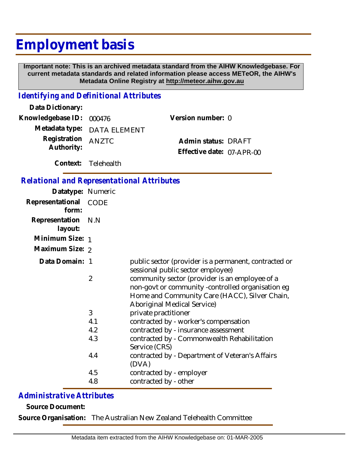## **Employment basis**

 **Important note: This is an archived metadata standard from the AIHW Knowledgebase. For current metadata standards and related information please access METeOR, the AIHW's Metadata Online Registry at http://meteor.aihw.gov.au**

## *Identifying and Definitional Attributes*

| Data Dictionary:                 |                             |                           |  |
|----------------------------------|-----------------------------|---------------------------|--|
| Knowledgebase ID: 000476         |                             | Version number: 0         |  |
|                                  | Metadata type: DATA ELEMENT |                           |  |
| Registration ANZTC<br>Authority: |                             | Admin status: DRAFT       |  |
|                                  |                             | Effective date: 07-APR-00 |  |
|                                  |                             |                           |  |

**Context:** Telehealth

## *Relational and Representational Attributes*

| Datatype: Numeric |                |                                                       |
|-------------------|----------------|-------------------------------------------------------|
| Representational  | <b>CODE</b>    |                                                       |
| form:             |                |                                                       |
| Representation    | N.N            |                                                       |
| layout:           |                |                                                       |
| Minimum Size: 1   |                |                                                       |
|                   |                |                                                       |
| Maximum Size: 2   |                |                                                       |
| Data Domain: 1    |                | public sector (provider is a permanent, contracted or |
|                   |                | sessional public sector employee)                     |
|                   | $\overline{2}$ | community sector (provider is an employee of a        |
|                   |                | non-govt or community -controlled organisation eg     |
|                   |                | Home and Community Care (HACC), Silver Chain,         |
|                   |                |                                                       |
|                   |                | <b>Aboriginal Medical Service)</b>                    |
|                   | 3              | private practitioner                                  |
|                   | 4.1            | contracted by - worker's compensation                 |
|                   | 4.2            | contracted by - insurance assessment                  |
|                   | 4.3            | contracted by - Commonwealth Rehabilitation           |
|                   |                | Service (CRS)                                         |
|                   | 4.4            | contracted by - Department of Veteran's Affairs       |
|                   |                | (DVA)                                                 |
|                   | 4.5            | contracted by - employer                              |
|                   | 4.8            | contracted by - other                                 |
|                   |                |                                                       |

## *Administrative Attributes*

**Source Document:**

**Source Organisation:** The Australian New Zealand Telehealth Committee